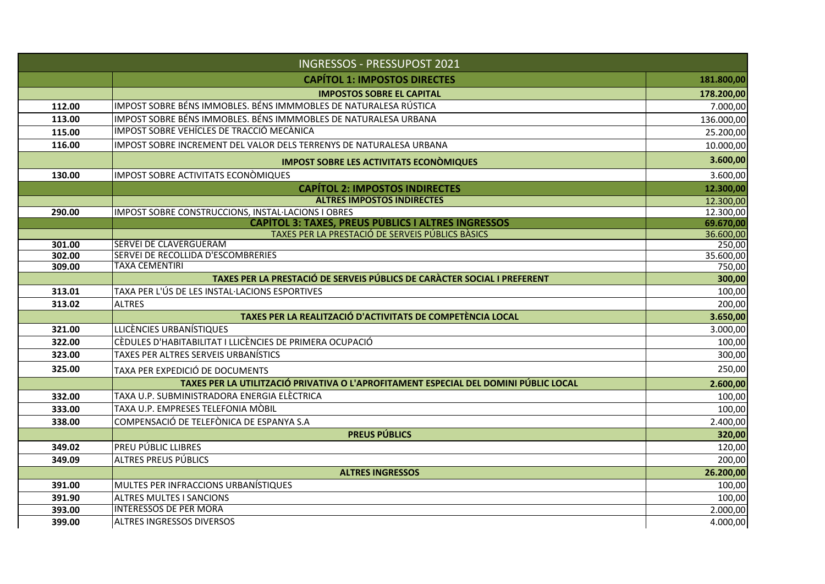| <b>INGRESSOS - PRESSUPOST 2021</b> |                                                                                      |                        |
|------------------------------------|--------------------------------------------------------------------------------------|------------------------|
|                                    | <b>CAPÍTOL 1: IMPOSTOS DIRECTES</b>                                                  | 181.800,00             |
|                                    | <b>IMPOSTOS SOBRE EL CAPITAL</b>                                                     | 178.200,00             |
| 112.00                             | IMPOST SOBRE BÉNS IMMOBLES. BÉNS IMMMOBLES DE NATURALESA RÚSTICA                     | 7.000,00               |
| 113.00                             | IMPOST SOBRE BÉNS IMMOBLES. BÉNS IMMMOBLES DE NATURALESA URBANA                      | 136.000,00             |
| 115.00                             | IMPOST SOBRE VEHÍCLES DE TRACCIÓ MECÀNICA                                            | 25.200,00              |
| 116.00                             | IMPOST SOBRE INCREMENT DEL VALOR DELS TERRENYS DE NATURALESA URBANA                  | 10.000,00              |
|                                    | <b>IMPOST SOBRE LES ACTIVITATS ECONOMIQUES</b>                                       | 3.600,00               |
| 130.00                             | <b>IMPOST SOBRE ACTIVITATS ECONOMIQUES</b>                                           | 3.600,00               |
|                                    | <b>CAPÍTOL 2: IMPOSTOS INDIRECTES</b>                                                | 12.300,00              |
|                                    | <b>ALTRES IMPOSTOS INDIRECTES</b>                                                    | 12.300,00              |
| 290.00                             | IMPOST SOBRE CONSTRUCCIONS, INSTAL·LACIONS I OBRES                                   | $\overline{12.300,00}$ |
|                                    | <b>CAPÍTOL 3: TAXES, PREUS PÚBLICS I ALTRES INGRESSOS</b>                            | 69.670,00              |
|                                    | TAXES PER LA PRESTACIÓ DE SERVEIS PÚBLICS BÀSICS                                     | 36.600,00              |
| 301.00                             | <b>SERVEI DE CLAVERGUERAM</b><br>SERVEI DE RECOLLIDA D'ESCOMBRERIES                  | 250,00                 |
| 302.00<br>309.00                   | <b>TAXA CEMENTIRI</b>                                                                | 35.600,00<br>750,00    |
|                                    | TAXES PER LA PRESTACIÓ DE SERVEIS PÚBLICS DE CARÀCTER SOCIAL I PREFERENT             | 300,00                 |
| 313.01                             | TAXA PER L'ÚS DE LES INSTAL·LACIONS ESPORTIVES                                       | 100,00                 |
| 313.02                             | <b>ALTRES</b>                                                                        | 200,00                 |
|                                    | TAXES PER LA REALITZACIÓ D'ACTIVITATS DE COMPETÈNCIA LOCAL                           | 3.650,00               |
| 321.00                             | LLICÈNCIES URBANÍSTIQUES                                                             | 3.000,00               |
| 322.00                             | CÈDULES D'HABITABILITAT I LLICÈNCIES DE PRIMERA OCUPACIÓ                             | 100,00                 |
| 323.00                             | TAXES PER ALTRES SERVEIS URBANÍSTICS                                                 | 300,00                 |
| 325.00                             | TAXA PER EXPEDICIÓ DE DOCUMENTS                                                      | 250,00                 |
|                                    | TAXES PER LA UTILITZACIÓ PRIVATIVA O L'APROFITAMENT ESPECIAL DEL DOMINI PÚBLIC LOCAL | 2.600,00               |
| 332.00                             | TAXA U.P. SUBMINISTRADORA ENERGIA ELÈCTRICA                                          | 100,00                 |
| 333.00                             | TAXA U.P. EMPRESES TELEFONIA MÒBIL                                                   | 100,00                 |
| 338.00                             | COMPENSACIÓ DE TELEFÒNICA DE ESPANYA S.A                                             | 2.400,00               |
|                                    | <b>PREUS PÚBLICS</b>                                                                 | 320,00                 |
| 349.02                             | <b>PREU PÚBLIC LLIBRES</b>                                                           | 120,00                 |
| 349.09                             | ALTRES PREUS PÚBLICS                                                                 | 200,00                 |
|                                    | <b>ALTRES INGRESSOS</b>                                                              | 26.200,00              |
| 391.00                             | MULTES PER INFRACCIONS URBANÍSTIQUES                                                 | 100,00                 |
| 391.90                             | <b>ALTRES MULTES I SANCIONS</b>                                                      | 100,00                 |
| 393.00                             | <b>INTERESSOS DE PER MORA</b>                                                        | 2.000,00               |
| 399.00                             | <b>ALTRES INGRESSOS DIVERSOS</b>                                                     | 4.000,00               |